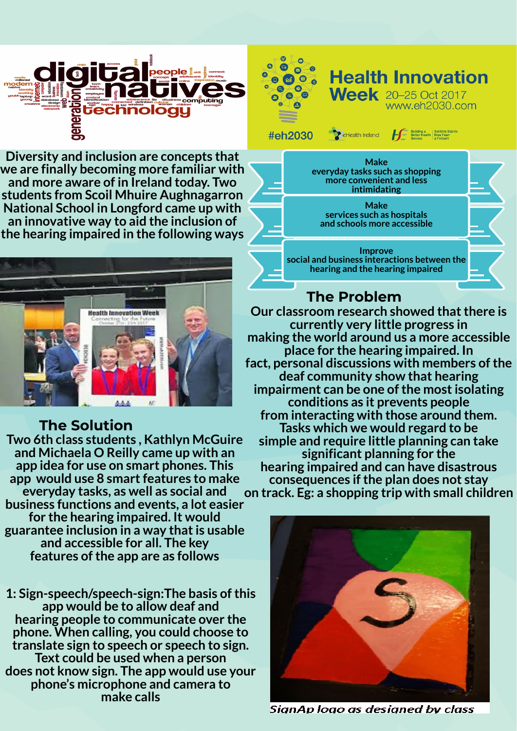

**Diversity and inclusion are concepts that we are finally becoming more familiar with and more aware of in Ireland today. Two students from Scoil Mhuire Aughnagarron National School in Longford came up with an innovative way to aid the inclusion of the hearing impaired in the following ways**



## **The Solution**

**Two 6th class students , Kathlyn McGuire and Michaela O Reilly came up with an app idea for use on smart phones. This app would use 8 smartfeatures to make everyday tasks, as well as social and business functions and events, a lot easier for the hearing impaired. It would guarantee inclusion in a way thatis usable and accessible for all. The key features ofthe app are as follows**

**1: Sign-speech/speech-sign:The basis ofthis app would be to allow deaf and hearing people to communicate over the phone. When calling, you could choose to translate sign to speech or speech to sign. Text could be used when a person does not know sign. The app would use your phone's microphone and camera to make calls**



**Health Innovation** 

 $\boldsymbol{\epsilon}$ 

 $\bullet$ 

 $\bullet\bullet$ 

 $\bullet$   $\bullet$   $\bullet$ 

# **The Problem**

**Our classroom research showed that there** is **currently very little progress in making the world around us a more accessible place for the hearing impaired. In fact, personal discussions with members of the deaf community show that hearing impairment can be one of the mostisolating conditions as it prevents people from interacting with those around them. Tasks which we would regard to be simple and require little planning can take significant planning for the hearing impaired and can have disastrous consequences if the plan does not stay on track. Eg: a shopping trip with small children**



SignAp logo as designed by class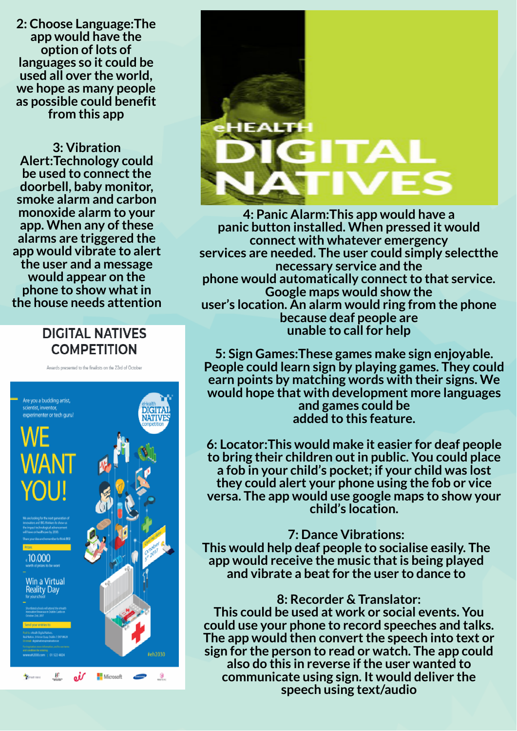**2: Choose Language:The app would have the option of lots of languages so it could be used all over the world, we hope as many people as possible could benefit from this app**

**3: Vibration Alert:Technology could be** used to connect the **doorbell, baby monitor, smoke alarm and carbon monoxide alarm to your app. When any of these alarms are triggered the app would vibrate to alert the user and a message would appear on the phone to show whatin the house needs attention**

### **DIGITAL NATIVES COMPETITION**

Awards presented to the finalists on the 23rd of October



# ALT

**4: Panic Alarm:This app would have a panic button installed. When pressed it would connect with whatever emergency services are needed. The user could simply selectthe necessary service and the phone** would automatically connect to that service. **Google maps would show the user's location. An alarm would ring from the phone because deaf people are unable to call for help**

**5: Sign Games:These games make sign enjoyable. People could learn sign by playing games. They could earn points by matching words with their signs. We would hope that with development more languages and games could be added to this feature.**

**6: Locator:This would make it easier for deaf people to bring their children outin public. You could place a fob in your child's pocket; if your child was lost they could alert your phone using the fob or vice versa. The app would use google maps to show your child's location.**

### **7: Dance Vibrations:**

**This would help deaf people to socialise easily. The app would receive the music thatis being played and vibrate a beatfor the user to dance to**

### **8: Recorder & Translator:**

**This could be used at work or social events. You could use your phone to record speeches and talks. The app would then convertthe speech into text or sign for the person to read or watch. The app could also do this in reverse ifthe user wanted to communicate using sign. It would deliver the speech using text/audio**